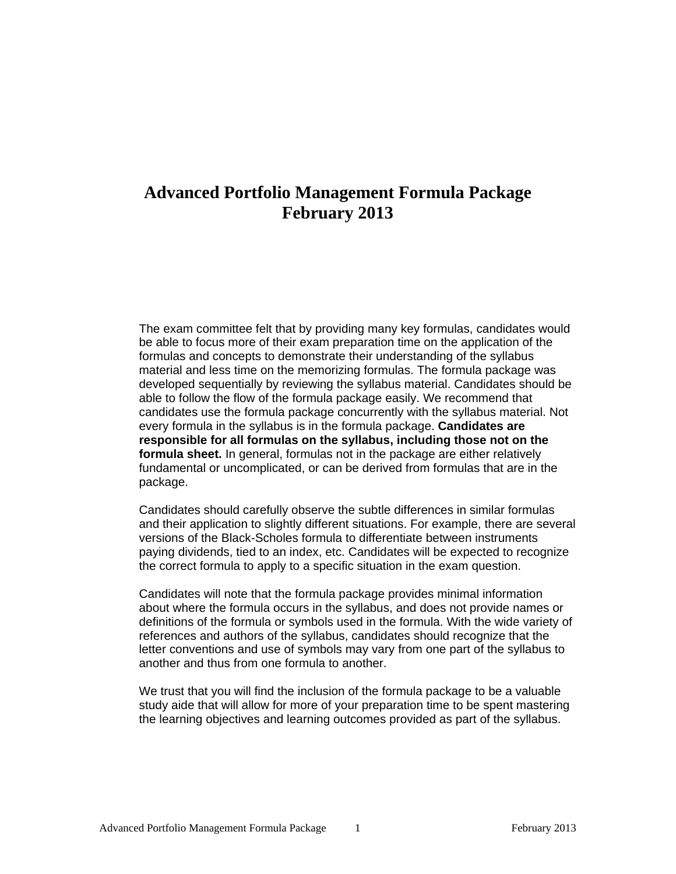# **Advanced Portfolio Management Formula Package February 2013**

The exam committee felt that by providing many key formulas, candidates would be able to focus more of their exam preparation time on the application of the formulas and concepts to demonstrate their understanding of the syllabus material and less time on the memorizing formulas. The formula package was developed sequentially by reviewing the syllabus material. Candidates should be able to follow the flow of the formula package easily. We recommend that candidates use the formula package concurrently with the syllabus material. Not every formula in the syllabus is in the formula package. **Candidates are responsible for all formulas on the syllabus, including those not on the formula sheet.** In general, formulas not in the package are either relatively fundamental or uncomplicated, or can be derived from formulas that are in the package.

Candidates should carefully observe the subtle differences in similar formulas and their application to slightly different situations. For example, there are several versions of the Black-Scholes formula to differentiate between instruments paying dividends, tied to an index, etc. Candidates will be expected to recognize the correct formula to apply to a specific situation in the exam question.

Candidates will note that the formula package provides minimal information about where the formula occurs in the syllabus, and does not provide names or definitions of the formula or symbols used in the formula. With the wide variety of references and authors of the syllabus, candidates should recognize that the letter conventions and use of symbols may vary from one part of the syllabus to another and thus from one formula to another.

We trust that you will find the inclusion of the formula package to be a valuable study aide that will allow for more of your preparation time to be spent mastering the learning objectives and learning outcomes provided as part of the syllabus.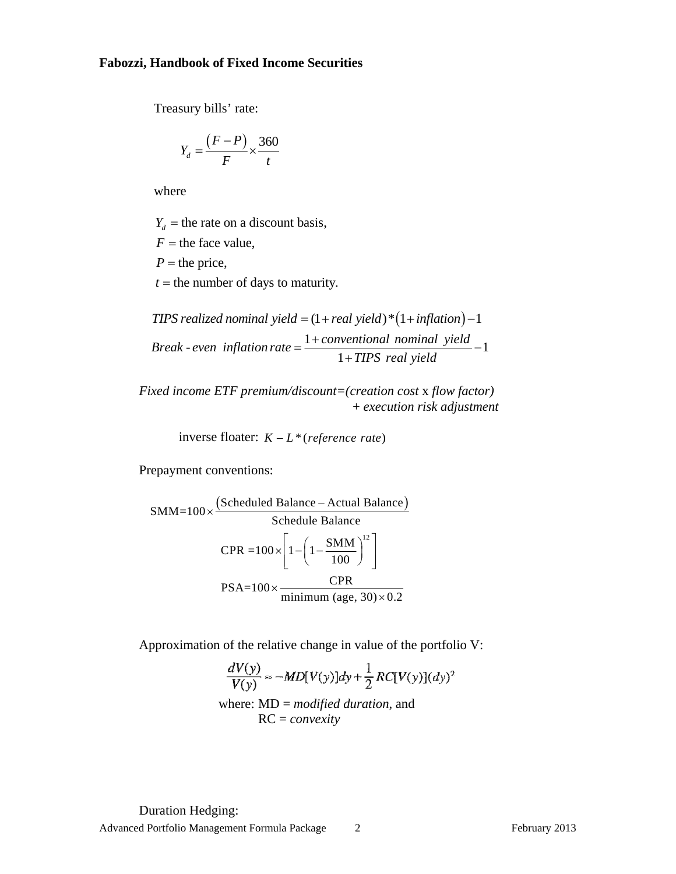### **Fabozzi, Handbook of Fixed Income Securities**

Treasury bills' rate:

$$
Y_d = \frac{(F-P)}{F} \times \frac{360}{t}
$$

where

 $Y_d$  = the rate on a discount basis,

 $F =$  the face value,

 $P =$  the price,

 $t =$  the number of days to maturity.

*TIPS realized nominal yield* =  $(1 + real$  *yield*  $)*(1 + inflation) - 1$ *Break* - even inflation rate =  $\frac{1 + conventional \text{ nominal yield}}{1 - M} - 1$ *Break - even inflation rate*  $=$   $\frac{1+conventional\ noninal\ yield}{1+TIPS\ real\ yield}$ 

*Fixed income ETF premium/discount=(creation cost* x *flow factor)*  + *execution risk adjustment* 

inverse floater:  $K - L^*$  (*reference rate*)

Prepayment conventions:

$$
SMM=100 \times \frac{\text{(Scheduled Balance - Actual Balance)}}{\text{Scheduled Balance}}
$$
  
\n
$$
CPR = 100 \times \left[1 - \left(1 - \frac{SMM}{100}\right)^{12}\right]
$$
  
\n
$$
PSA=100 \times \frac{CPR}{minimum (age, 30) \times 0.2}
$$

Approximation of the relative change in value of the portfolio V:

$$
\frac{dV(y)}{V(y)} \approx -MD[V(y)]dy + \frac{1}{2}RC[V(y)](dy)^2
$$
  
where: MD = modified duration, and

RC = *convexity*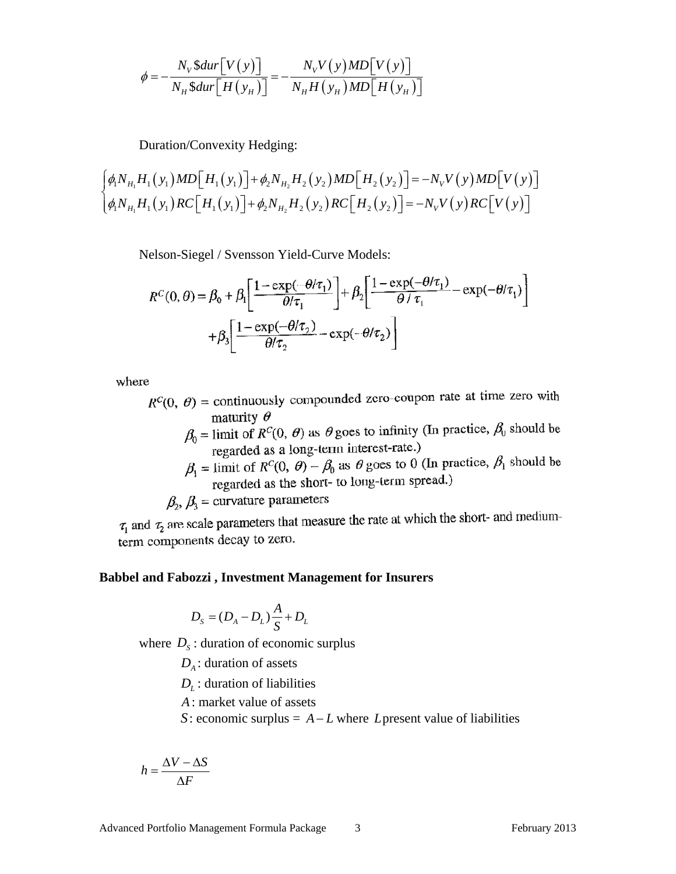$$
\phi = -\frac{N_V \$\text{dur}\left[V(y)\right]}{N_H \$\text{dur}\left[H(y_H)\right]} = -\frac{N_V V(y) M D \left[V(y)\right]}{N_H H(y_H) M D \left[H(y_H)\right]}
$$

Duration/Convexity Hedging:

$$
\int_{\phi_1}^{\phi_2} \phi_1 N_{H_1} H_1(y_1) M D \Big[ H_1(y_1) \Big] + \phi_2 N_{H_2} H_2(y_2) M D \Big[ H_2(y_2) \Big] = -N_V V(y) M D \Big[ V(y) \Big]
$$
  

$$
\int_{\phi_1}^{\phi_2} \phi_1 N_{H_1} H_1(y_1) R C \Big[ H_1(y_1) \Big] + \phi_2 N_{H_2} H_2(y_2) R C \Big[ H_2(y_2) \Big] = -N_V V(y) R C \Big[ V(y) \Big]
$$

Nelson-Siegel / Svensson Yield-Curve Models:

$$
R^{C}(0, \theta) = \beta_0 + \beta_1 \left[ \frac{1 - \exp(-\theta/\tau_1)}{\theta/\tau_1} \right] + \beta_2 \left[ \frac{1 - \exp(-\theta/\tau_1)}{\theta/\tau_1} - \exp(-\theta/\tau_1) \right]
$$

$$
+ \beta_3 \left[ \frac{1 - \exp(-\theta/\tau_2)}{\theta/\tau_2} - \exp(-\theta/\tau_2) \right]
$$

where

- $R^{C}(0, \theta)$  = continuously compounded zero-coupon rate at time zero with maturity  $\theta$ 
	- $\beta_0$  = limit of  $R^C(0, \theta)$  as  $\theta$  goes to infinity (In practice,  $\beta_0$  should be regarded as a long-term interest-rate.)
	- $\beta_1$  = limit of  $R^C(0, \theta) \beta_0$  as  $\theta$  goes to 0 (In practice,  $\beta_1$  should be regarded as the short- to long-term spread.)

 $\beta_2$ ,  $\beta_3$  = curvature parameters

 $\tau_1$  and  $\tau_2$  are scale parameters that measure the rate at which the short- and mediumterm components decay to zero.

#### **Babbel and Fabozzi , Investment Management for Insurers**

$$
D_{S} = (D_{A} - D_{L})\frac{A}{S} + D_{L}
$$

where  $D_s$ : duration of economic surplus

 $D_A$ : duration of assets

 $D_L$ : duration of liabilities

*A*: market value of assets

*S*: economic surplus =  $A - L$  where *L* present value of liabilities

$$
h = \frac{\Delta V - \Delta S}{\Delta F}
$$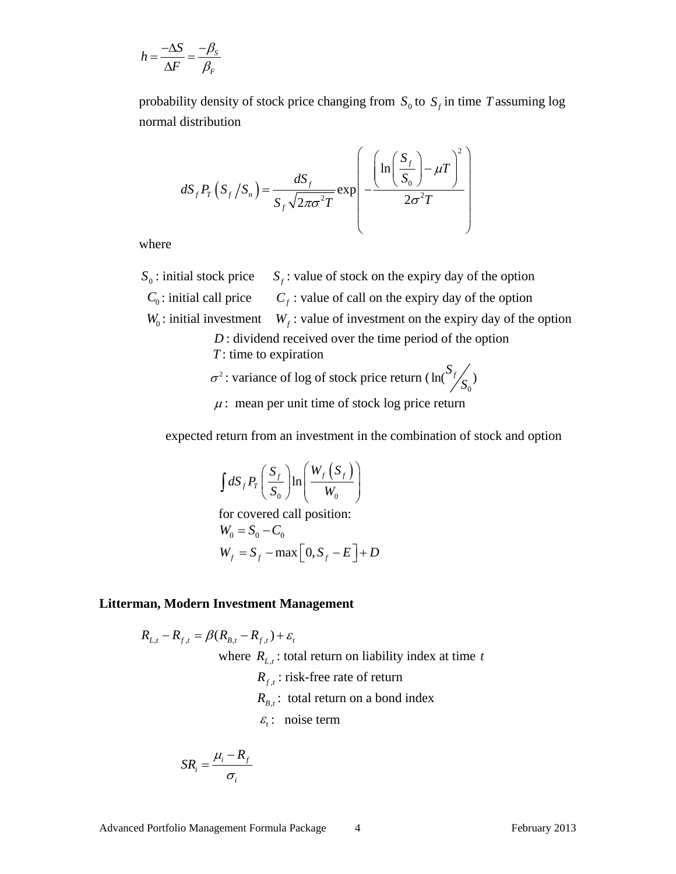$$
h = \frac{-\Delta S}{\Delta F} = \frac{-\beta_S}{\beta_F}
$$

probability density of stock price changing from  $S_0$  to  $S_f$  in time *T* assuming log normal distribution

$$
dS_{f}P_{T}\left(S_{f}/S_{n}\right) = \frac{dS_{f}}{S_{f}\sqrt{2\pi\sigma^{2}T}}\exp\left(-\frac{\left(\ln\left(\frac{S_{f}}{S_{0}}\right)-\mu T\right)^{2}}{2\sigma^{2}T}\right)
$$

where

 $S_0$ : initial stock price  $S_f$ : value of stock on the expiry day of the option  $C_0$ : initial call price  $C_f$ : value of call on the expiry day of the option  $W_0$ : initial investment  $W_f$ : value of investment on the expiry day of the option *D* : dividend received over the time period of the option *T* : time to expiration

 $\sigma^2$ : variance of log of stock price return (  $\ln({S_f}/{S_0})$ 

$$
\mu
$$
: mean per unit time of stock log price return

expected return from an investment in the combination of stock and option

0

$$
\int dS_{f} P_{T} \left( \frac{S_{f}}{S_{0}} \right) \ln \left( \frac{W_{f}(S_{f})}{W_{0}} \right)
$$
  
for covered call position:  

$$
W_{0} = S_{0} - C_{0}
$$

$$
W_{f} = S_{f} - \max \left[ 0, S_{f} - E \right] + D
$$

#### **Litterman, Modern Investment Management**

$$
R_{L,t} - R_{f,t} = \beta(R_{B,t} - R_{f,t}) + \varepsilon_t
$$
  
where  $R_{L,t}$ : total return on liability index at time t  
 $R_{f,t}$ : risk-free rate of return  
 $R_{B,t}$ : total return on a bond index  
 $\varepsilon_t$ : noise term

$$
SR_i = \frac{\mu_i - R_f}{\sigma_i}
$$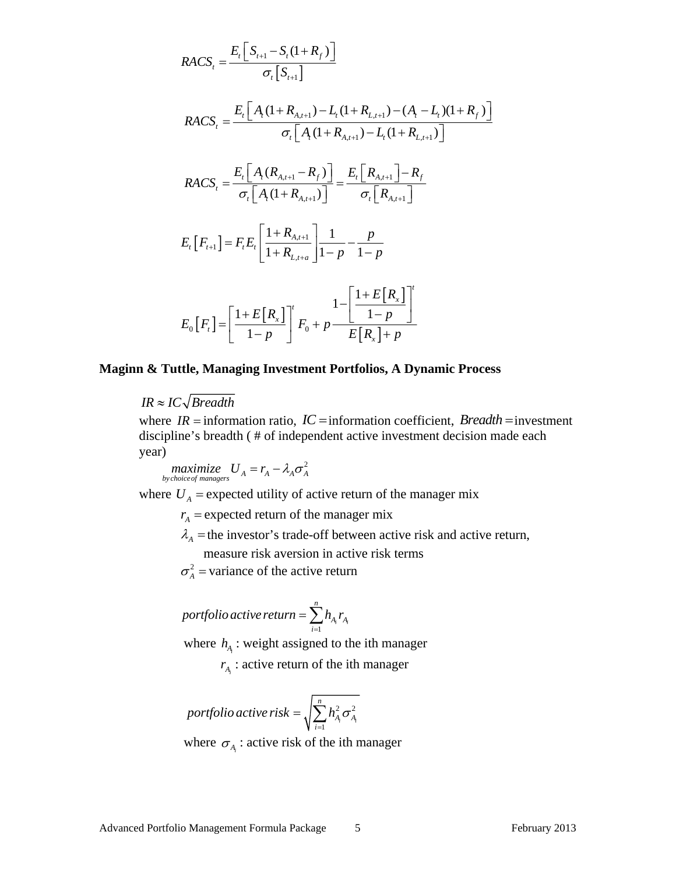$$
RACS_{t} = \frac{E_{t} \left[ S_{t+1} - S_{t} (1 + R_{f}) \right]}{\sigma_{t} \left[ S_{t+1} \right]}
$$
\n
$$
RACS_{t} = \frac{E_{t} \left[ A_{t} (1 + R_{A,t+1}) - L_{t} (1 + R_{L,t+1}) - (A_{t} - L_{t}) (1 + R_{f}) \right]}{\sigma_{t} \left[ A_{t} (1 + R_{A,t+1}) - L_{t} (1 + R_{L,t+1}) \right]}
$$
\n
$$
RACS_{t} = \frac{E_{t} \left[ A_{t} (R_{A,t+1} - R_{f}) \right]}{\sigma_{t} \left[ A_{t} (1 + R_{A,t+1}) \right]} = \frac{E_{t} \left[ R_{A,t+1} \right] - R_{f}}{\sigma_{t} \left[ R_{A,t+1} \right]}
$$
\n
$$
E_{t} \left[ F_{t+1} \right] = F_{t} E_{t} \left[ \frac{1 + R_{A,t+1}}{1 + R_{L,t+a}} \right] \frac{1}{1 - p} - \frac{p}{1 - p}
$$
\n
$$
E_{0} \left[ F_{t} \right] = \left[ \frac{1 + E \left[ R_{x} \right]}{1 - p} \right]^{t} F_{0} + p \frac{1 - \left[ \frac{1 + E \left[ R_{x} \right]}{1 - p} \right]^{t}}{E \left[ R_{x} \right] + p}
$$

#### **Maginn & Tuttle, Managing Investment Portfolios, A Dynamic Process**

 $IR \approx IC\sqrt{Breadth}$ 

where  $IR =$  information ratio,  $IC =$  information coefficient, *Breadth* = investment discipline's breadth ( # of independent active investment decision made each year)

*Maximize*  $U_A = r_A - \lambda_A \sigma_A^2$ 

where  $U_A$  = expected utility of active return of the manager mix

 $r_A$  = expected return of the manager mix

 $\lambda_A$  = the investor's trade-off between active risk and active return,

measure risk aversion in active risk terms

 $\sigma_A^2$  = variance of the active return

$$
portfolio\ active\ return = \sum_{i=1}^{n} h_{A_i} r_{A_i}
$$

where  $h_A$ : weight assigned to the ith manager

 $r_{A_i}$ : active return of the ith manager

$$
portfolio active risk = \sqrt{\sum_{i=1}^{n} h_{A_i}^2 \sigma_{A_i}^2}
$$

where  $\sigma_{A}$  : active risk of the ith manager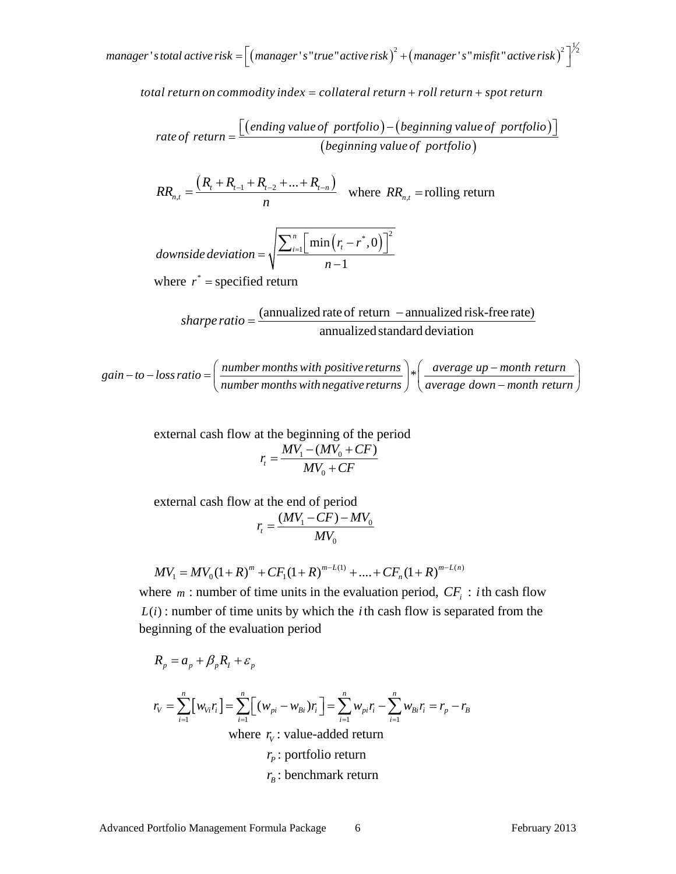$1$   $m$   $m$   $n$   $s$   $t$   $\sigma$   $t$   $s$   $\sigma$   $t$   $\sigma$   $s$   $\sigma$   $s$   $\sigma$   $s$   $\sigma$   $s$   $\sigma$   $s$   $\sigma$   $s$   $\sigma$   $s$   $\sigma$   $s$   $\sigma$   $s$   $\sigma$   $s$   $\sigma$   $s$   $\sigma$   $s$   $\sigma$   $s$   $\sigma$   $s$   $\sigma$   $s$   $\sigma$   $s$   $\sigma$   $s$   $\sigma$   $s$   $\sigma$   $s$   $\sigma$ 

*total return on commodity index = collateral return + roll return + spot return* 

rate of return = 
$$
\frac{[(ending value of portfolio) - (beginning value of portfolio)]}{(beginning value of portfolio)}
$$

 $(R_{t}+R_{t-1}+R_{t-2}+...+R_{t-n})$ ,  $R_{t}$  +  $R_{t-1}$  +  $R_{t-2}$  + ... +  $R_{t-n}$ *n t*  $R_{i} + R_{i-1} + R_{i-2} + ... + R_{i}$ *RR*  $=\frac{(R_{t}+R_{t-1}+R_{t-2}+...+R_{t-n})}{n}$  where  $RR_{n,t}$  = rolling return

downside deviation = 
$$
\sqrt{\frac{\sum_{i=1}^{n} [\min(r_i - r^*, 0)]^2}{n-1}}
$$

where  $r^*$  = specified return

*shape ratio* = 
$$
\frac{(\text{annualized rate of return } - \text{annualized risk-free rate})}{\text{annualized standard deviation}}
$$

 $gain-to-loss ratio = \left( \frac{number\,months\,with\,positive\,returns}{number\,moth\,negative\,returns} \right) * \left( \frac{average\ up-month\,return}{average\,down-month\,return} \right)$ 

external cash flow at the beginning of the period  

$$
r_t = \frac{MV_1 - (MV_0 + CF)}{MV_0 + CF}
$$

external cash flow at the end of period  

$$
r_t = \frac{(MV_1 - CF) - MV_0}{MV_0}
$$

$$
MV_1 = MV_0(1+R)^m + CF_1(1+R)^{m-L(1)} + \dots + CF_n(1+R)^{m-L(n)}
$$

where  $m$ : number of time units in the evaluation period,  $CF_i$ : *i*th cash flow  $L(i)$ : number of time units by which the *i*th cash flow is separated from the beginning of the evaluation period

$$
R_p = a_p + \beta_p R_l + \varepsilon_p
$$

$$
r_{V} = \sum_{i=1}^{n} [w_{Vi}r_{i}] = \sum_{i=1}^{n} [(w_{pi} - w_{Bi})r_{i}] = \sum_{i=1}^{n} w_{pi}r_{i} - \sum_{i=1}^{n} w_{Bi}r_{i} = r_{p} - r_{B}
$$
  
where  $r_{V}$ : value-added return
$$
r_{P}
$$
: portfolio return
$$
r_{R}
$$
: benchmark return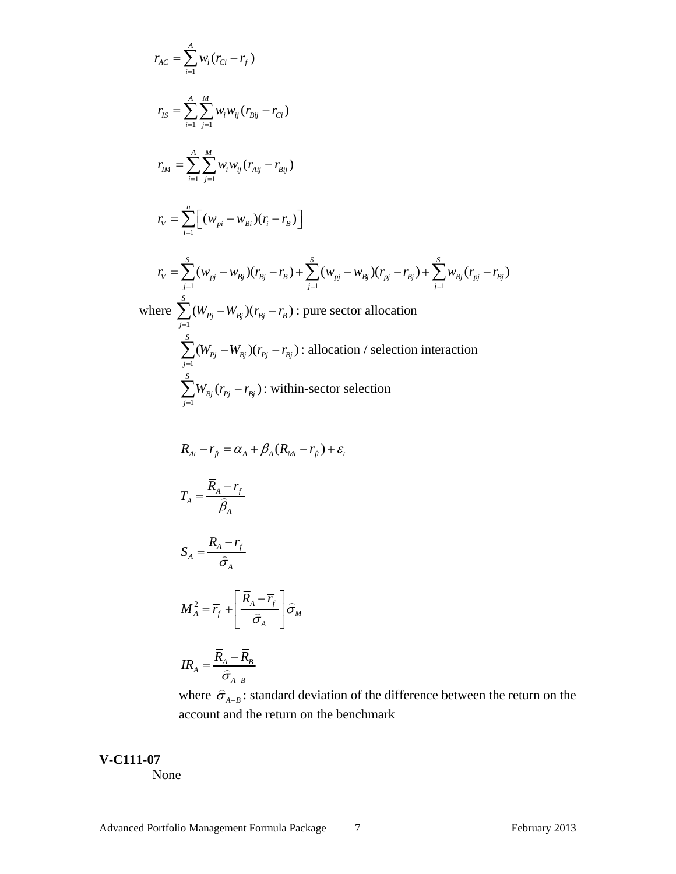$$
r_{AC} = \sum_{i=1}^{A} w_i (r_{Ci} - r_j)
$$
  
\n
$$
r_{IS} = \sum_{i=1}^{A} \sum_{j=1}^{M} w_j w_{ij} (r_{Bij} - r_{Ci})
$$
  
\n
$$
r_{IM} = \sum_{i=1}^{A} \sum_{j=1}^{M} w_j w_{ij} (r_{Aij} - r_{Bi})
$$
  
\n
$$
r_V = \sum_{i=1}^{n} \Big[ (w_{pi} - w_{Bi})(r_i - r_b) \Big]
$$
  
\n
$$
r_V = \sum_{j=1}^{S} (w_{pi} - w_{Bi})(r_{Bi} - r_b) + \sum_{j=1}^{S} (w_{pi} - w_{Bi})(r_{pi} - r_{Bi}) + \sum_{j=1}^{S} w_{Bi}(r_{pi} - r_{Bi})
$$
  
\nwhere 
$$
\sum_{j=1}^{S} (W_{Fj} - W_{kj})(r_{Bj} - r_b)
$$
: pure sector allocation  
\n
$$
\sum_{j=1}^{S} (W_{Fj} - W_{kj})(r_{Fj} - r_{Bj})
$$
: allocation / selection interaction  
\n
$$
\sum_{j=1}^{S} W_{Fj} (r_{Fj} - r_{Bi})
$$
: within-sector selection  
\n
$$
R_{Ai} - r_{fi} = \alpha_A + \beta_A (R_{Mi} - r_{fi}) + \varepsilon_r
$$
  
\n
$$
T_A = \frac{\overline{R}_A - \overline{r}_f}{\overline{\beta}_A}
$$
  
\n
$$
S_A = \frac{\overline{R}_A - \overline{r}_f}{\overline{\sigma}_A}
$$
  
\n
$$
M_A^2 = \overline{r}_f + \Big[ \frac{\overline{R}_A - \overline{r}_f}{\overline{\sigma}_A} \Big] \overline{\sigma}_M
$$
  
\n
$$
IR_A = \frac{\overline{R}_A - \overline{R}_B}{\overline{\sigma}_{A-B}}
$$

where  $\hat{\sigma}_{A-B}$ : standard deviation of the difference between the return on the account and the return on the benchmark

# **V-C111-07**

None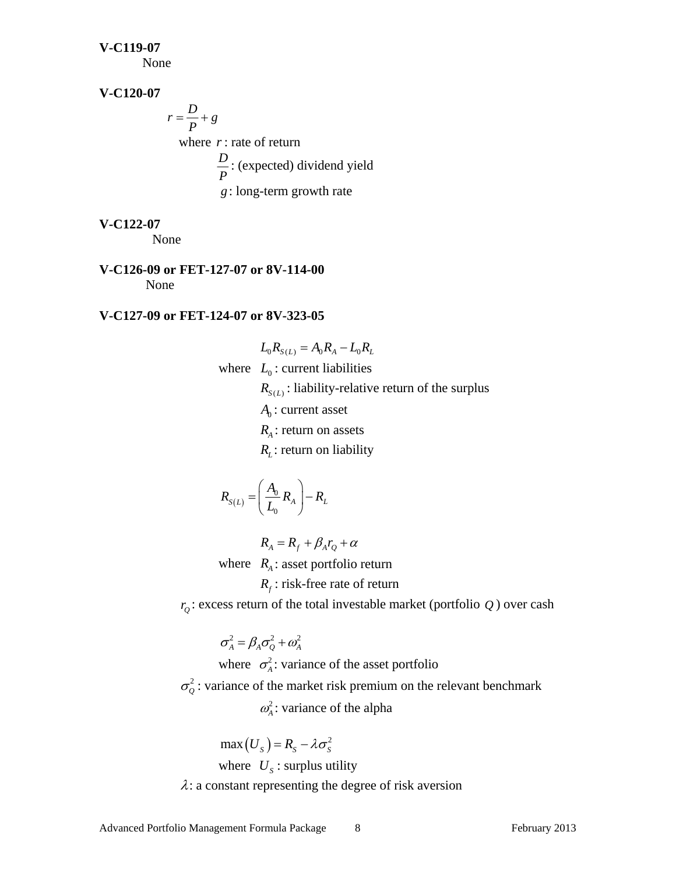#### **V-C119-07**

None

# **V-C120-07**

 $r = \frac{D}{P} + g$  where *r*: rate of return  $\frac{D}{P}$  : (expected) dividend yield *g*: long-term growth rate

# **V-C122-07**

None

# **V-C126-09 or FET-127-07 or 8V-114-00**  None

# **V-C127-09 or FET-124-07 or 8V-323-05**

$$
L_0 R_{S(L)} = A_0 R_A - L_0 R_L
$$
  
where  $L_0$ : current liabilities  
 $R_{S(L)}$ : liability-relative return of the surplus  
 $A_0$ : current asset  
 $R_A$ : return on assets  
 $R_L$ : return on liability

$$
R_{S(L)} = \left(\frac{A_0}{L_0} R_A\right) - R_L
$$

$$
R_{A}=R_{f}+\beta_{A}r_{Q}+\alpha
$$

where  $R_A$ : asset portfolio return

# $R_f$ : risk-free rate of return

 $r<sub>Q</sub>$ : excess return of the total investable market (portfolio *Q*) over cash

$$
\sigma^2_A = \beta_A \sigma^2_Q + \omega^2_A
$$

where  $\sigma_A^2$ : variance of the asset portfolio  $\sigma_0^2$ : variance of the market risk premium on the relevant benchmark  $\omega_A^2$ : variance of the alpha

 $max(U_s) = R_s - \lambda \sigma_s^2$ where  $U_s$ : surplus utility  $\lambda$ : a constant representing the degree of risk aversion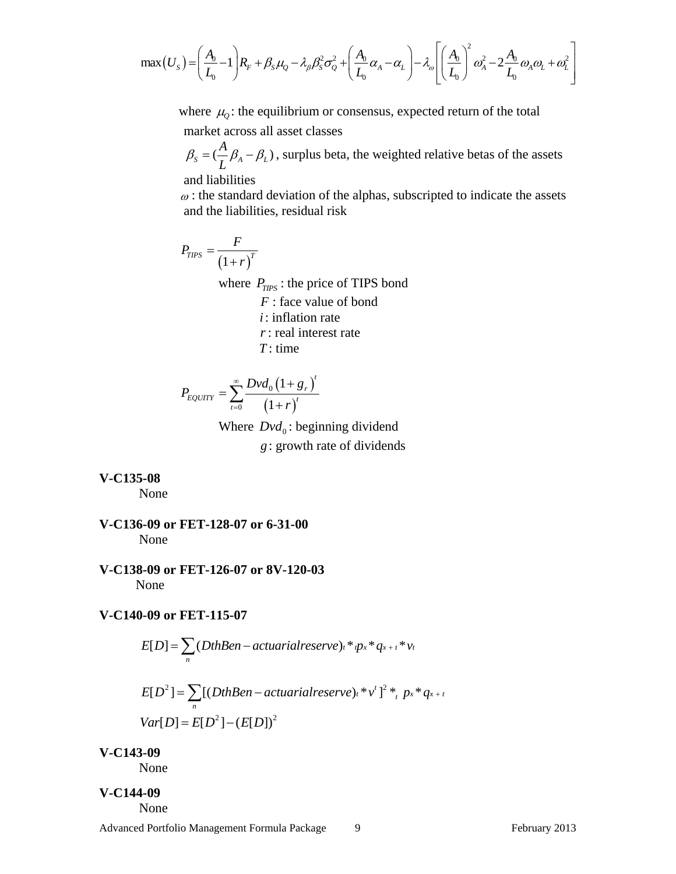$$
\max(U_{S}) = \left(\frac{A_{0}}{L_{0}} - 1\right) R_{F} + \beta_{S} \mu_{Q} - \lambda_{\beta} \beta_{S}^{2} \sigma_{Q}^{2} + \left(\frac{A_{0}}{L_{0}} \alpha_{A} - \alpha_{L}\right) - \lambda_{\omega} \left[\left(\frac{A_{0}}{L_{0}}\right)^{2} \omega_{A}^{2} - 2\frac{A_{0}}{L_{0}} \omega_{A} \omega_{L} + \omega_{L}^{2}\right]
$$

where  $\mu_0$ : the equilibrium or consensus, expected return of the total market across all asset classes

 $\beta_s = (\frac{A}{L}\beta_A - \beta_L)$ , surplus beta, the weighted relative betas of the assets

and liabilities

 $\omega$ : the standard deviation of the alphas, subscripted to indicate the assets and the liabilities, residual risk

$$
P_{TPS} = \frac{F}{\left(1+r\right)^{T}}
$$

where  $P_{TIPS}$ : the price of TIPS bond

 *F* : face value of bond *i*: inflation rate *r*: real interest rate *T* : time

$$
P_{EQUITY} = \sum_{t=0}^{\infty} \frac{Dvd_0 \left(1 + g_r\right)^t}{\left(1 + r\right)^t}
$$

Where  $Dvd_0$ : beginning dividend *g*: growth rate of dividends

#### **V-C135-08**

None

- **V-C136-09 or FET-128-07 or 6-31-00** None
- **V-C138-09 or FET-126-07 or 8V-120-03** None

## **V-C140-09 or FET-115-07**

$$
E[D] = \sum_{n} (DthBen - actualrialreserve)_t * ip_x * q_{x+t} * v_t
$$
  
\n
$$
E[D^2] = \sum_{n} [(DthBen - actualrialreserve)_t * v^t]^2 *_{t} p_x * q_{x+t}
$$
  
\n
$$
Var[D] = E[D^2] - (E[D])^2
$$

**V-C143-09** 

None

## **V-C144-09**

None

Advanced Portfolio Management Formula Package 9 9 February 2013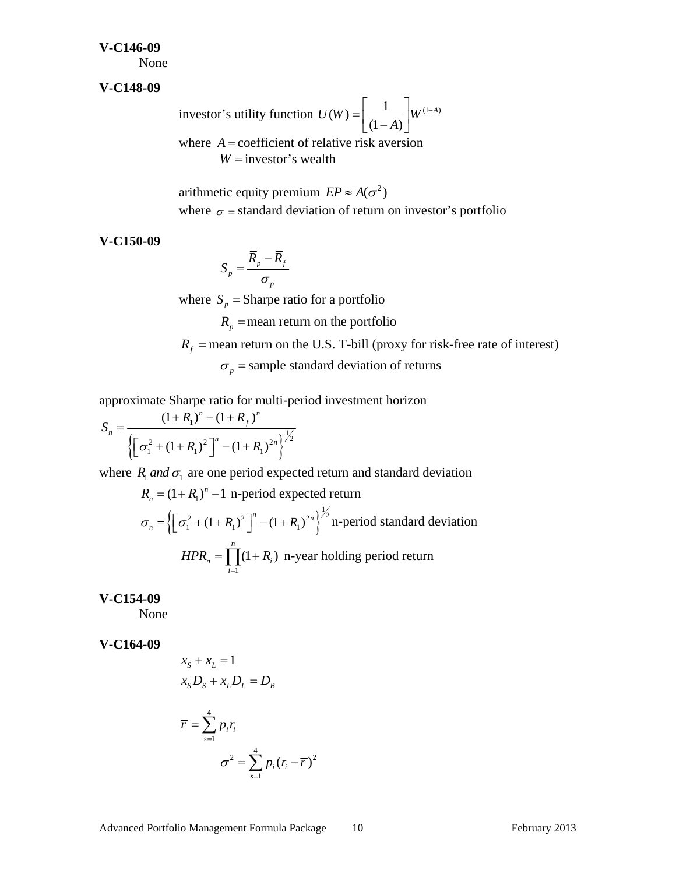#### **V-C146-09**

None

#### **V-C148-09**

investor's utility function  $U(W) = \left| \frac{1}{(1-A)} \right| W^{(1-A)}$  $=\left[\frac{1}{(1-A)}\right]W^{(1-A)}$ where  $A =$  coefficient of relative risk aversion  $W =$ investor's wealth

> arithmetic equity premium  $EP \approx A(\sigma^2)$ where  $\sigma$  = standard deviation of return on investor's portfolio

**V-C150-09** 

$$
S_p = \frac{\overline{R}_p - \overline{R}_f}{\sigma_p}
$$

where  $S_p$  = Sharpe ratio for a portfolio *R*  $\overline{R}_p$  = mean return on the portfolio  $\overline{R}_f$  = mean return on the U.S. T-bill (proxy for risk-free rate of interest)  $\sigma_p$  = sample standard deviation of returns

approximate Sharpe ratio for multi-period investment horizon

$$
S_n = \frac{(1+R_1)^n - (1+R_f)^n}{\left\{ \left[ \sigma_1^2 + (1+R_1)^2 \right]^n - (1+R_1)^{2n} \right\}^{\frac{1}{2}}}
$$

where  $R_1$  *and*  $\sigma_1$  are one period expected return and standard deviation

$$
R_n = (1 + R_1)^n - 1
$$
 n-period expected return  
\n
$$
\sigma_n = \left\{ \left[ \sigma_1^2 + (1 + R_1)^2 \right]^{n} - (1 + R_1)^{2n} \right\}^{\frac{1}{2}}
$$
 n-period standard deviation  
\n
$$
HPR_n = \prod_{i=1}^n (1 + R_i)
$$
 n-year holding period return

**V-C154-09** 

None

**V-C164-09** 

$$
x_{S} + x_{L} = 1
$$
  
\n
$$
x_{S}D_{S} + x_{L}D_{L} = D_{B}
$$
  
\n
$$
\overline{r} = \sum_{s=1}^{4} p_{i}r_{i}
$$
  
\n
$$
\sigma^{2} = \sum_{s=1}^{4} p_{i}(r_{i} - \overline{r})^{2}
$$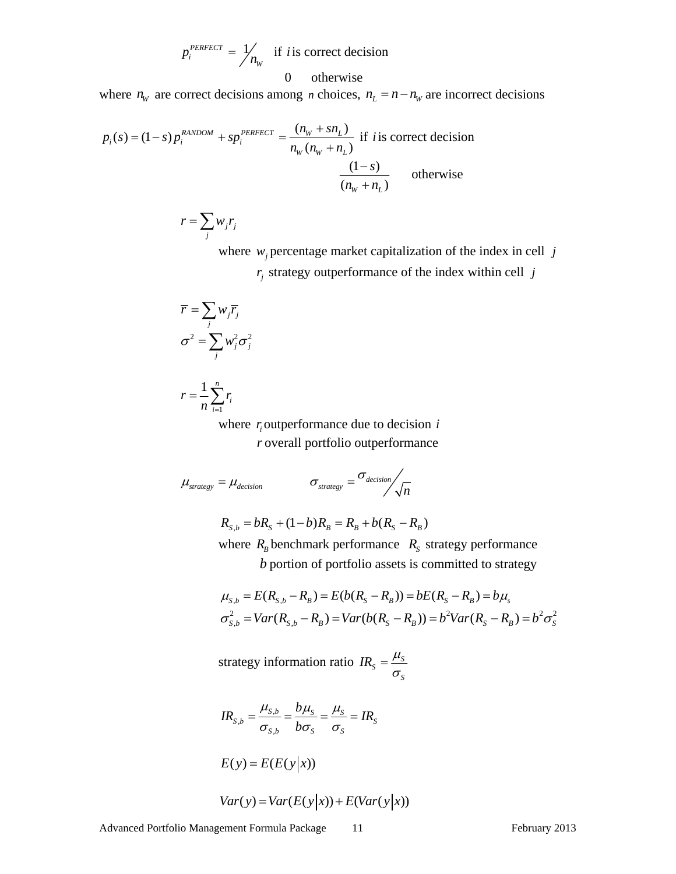$$
p_i^{PERFECT} = \frac{1}{n_w}
$$
 if *i* is correct decision  
0 otherwise

where  $n_w$  are correct decisions among *n* choices,  $n_L = n - n_w$  are incorrect decisions

$$
p_i(s) = (1 - s)p_i^{RANDOM} + sp_i^{PERFC} = \frac{(n_w + sn_L)}{n_w(n_w + n_L)} \text{ if } i \text{ is correct decision}
$$
\n
$$
\frac{(1 - s)}{(n_w + n_L)} \qquad \text{otherwise}
$$

$$
r = \sum_j w_j r_j
$$

where  $w_j$  percentage market capitalization of the index in cell  $j$ 

 $r_i$  strategy outperformance of the index within cell *j* 

$$
\overline{r} = \sum_{j} w_{j} \overline{r}_{j}
$$

$$
\sigma^{2} = \sum_{j} w_{j}^{2} \sigma_{j}^{2}
$$

$$
r=\frac{1}{n}\sum_{i=1}^n r_i
$$

where  $r_i$  outperformance due to decision  $i$ *r* overall portfolio outperformance

$$
\mu_{strategy} = \mu_{decision} \qquad \sigma_{strategy} = \sigma_{decision} / \sqrt{n}
$$

$$
R_{S,b} = bR_S + (1-b)R_B = R_B + b(R_S - R_B)
$$

where  $R_B$  benchmark performance  $R_S$  strategy performance *b* portion of portfolio assets is committed to strategy

$$
\mu_{S,b} = E(R_{S,b} - R_B) = E(b(R_S - R_B)) = bE(R_S - R_B) = b\mu_s
$$
  

$$
\sigma_{S,b}^2 = Var(R_{S,b} - R_B) = Var(b(R_S - R_B)) = b^2 Var(R_S - R_B) = b^2 \sigma_S^2
$$

strategy information ratio  $IR_s = \frac{\mu_s}{\sigma}$ *S*  $IR_{\rm s} = \frac{\mu_{\rm s}}{\sigma_{\rm s}}$ 

$$
IR_{S,b} = \frac{\mu_{S,b}}{\sigma_{S,b}} = \frac{b\mu_S}{b\sigma_S} = \frac{\mu_S}{\sigma_S} = IR_S
$$

 $E(y) = E(E(y|x))$ 

$$
Var(y) = Var(E(y|x)) + E(Var(y|x))
$$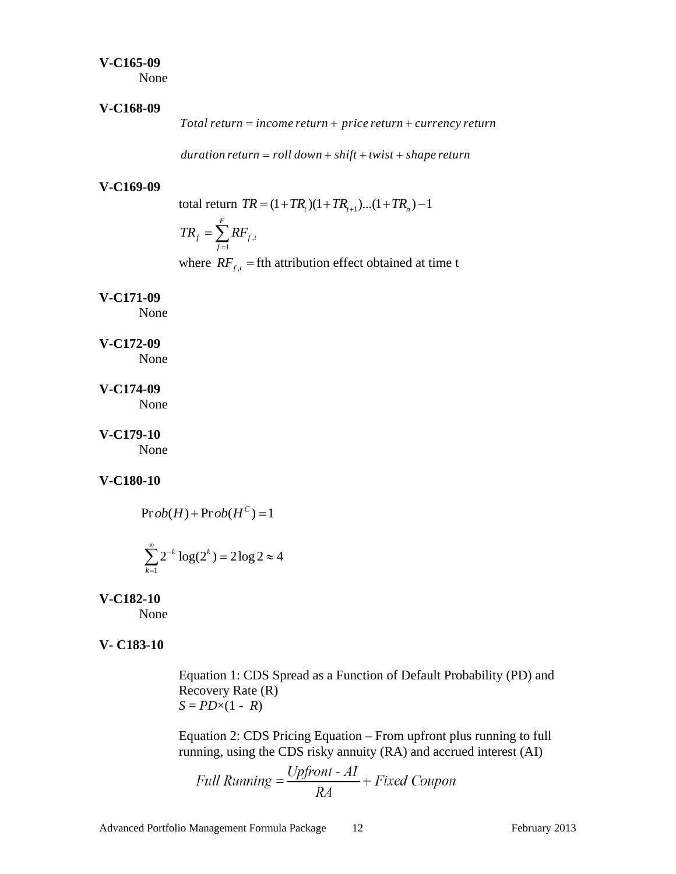#### **V-C165-09**

None

#### **V-C168-09**

*Total return = income return + price return + currency return* 

 $duration$  return = roll down + shift + twist + shape return

#### **V-C169-09**

total return  $TR = (1 + TR_t)(1 + TR_{t+1})...(1 + TR_n) - 1$ 

$$
TR_{_f} = \sum_{f=1}^{F} RF_{f,t}
$$

where  $RF_{f,t}$  = fth attribution effect obtained at time t

## **V-C171-09**

None

## **V-C172-09**

None

# **V-C174-09**

None

# **V-C179-10**

None

# **V-C180-10**

 $\Pr ob(H) + \Pr ob(H^C) = 1$ 

$$
\sum_{k=1}^{\infty} 2^{-k} \log(2^k) = 2 \log 2 \approx 4
$$

# **V-C182-10**

None

# **V- C183-10**

 Equation 1: CDS Spread as a Function of Default Probability (PD) and Recovery Rate (R)  $S = PD \times (1 - R)$ 

 Equation 2: CDS Pricing Equation – From upfront plus running to full running, using the CDS risky annuity (RA) and accrued interest (AI)

Full Running = 
$$
\frac{Upfront - AI}{RA} + Fixed\,
$$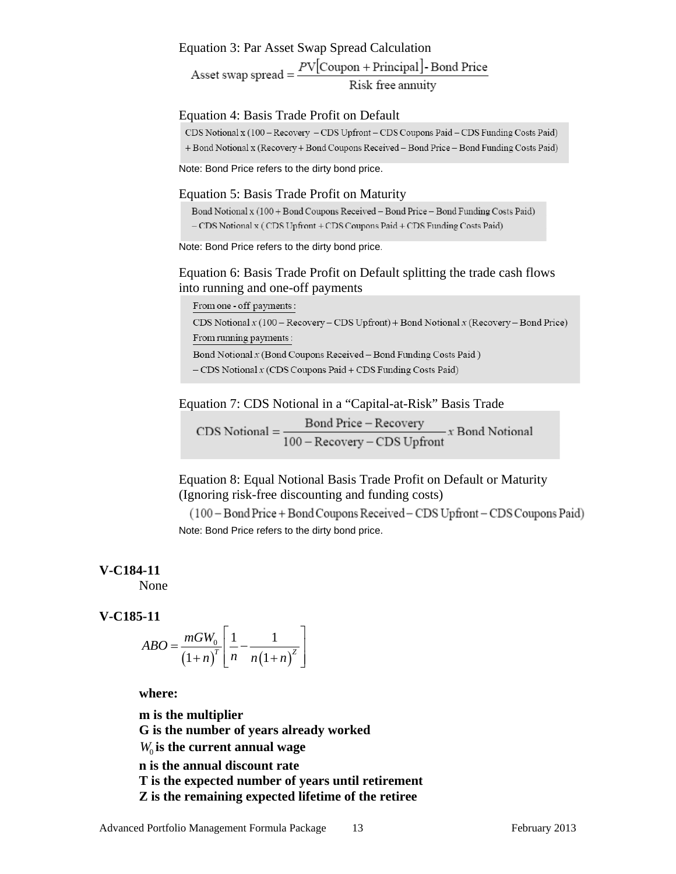Equation 3: Par Asset Swap Spread Calculation<br>Asset swap spread =  $\frac{PV[{\rm{Coupon + Principal}}] \cdot {\rm Bond Price}}{\text{Risk free annuity}}$ 

#### Equation 4: Basis Trade Profit on Default

CDS Notional x (100 - Recovery - CDS Upfront - CDS Coupons Paid - CDS Funding Costs Paid) + Bond Notional x (Recovery + Bond Coupons Received – Bond Price – Bond Funding Costs Paid)

Note: Bond Price refers to the dirty bond price.

#### Equation 5: Basis Trade Profit on Maturity

Bond Notional x (100 + Bond Coupons Received – Bond Price – Bond Funding Costs Paid) - CDS Notional x (CDS Upfront + CDS Coupons Paid + CDS Funding Costs Paid)

Note: Bond Price refers to the dirty bond price.

# Equation 6: Basis Trade Profit on Default splitting the trade cash flows into running and one-off payments

From one - off payments:

CDS Notional  $x(100 -$  Recovery - CDS Upfront) + Bond Notional  $x$  (Recovery - Bond Price) From running payments:

Bond Notional  $x$  (Bond Coupons Received – Bond Funding Costs Paid)

 $-CDS Notional x (CDS Coupons Paid + CDS Funding Costs Paid)$ 

Equation 7: CDS Notional in a "Capital-at-Risk" Basis Trade

CDS Notional =  $\frac{\text{Bond Price} - \text{Recovery}}{100 - \text{Recovery} - \text{CDS Upfront}} x \text{ Bond Notional}$ 

 Equation 8: Equal Notional Basis Trade Profit on Default or Maturity (Ignoring risk-free discounting and funding costs)

(100 – Bond Price + Bond Coupons Received – CDS Upfront – CDS Coupons Paid) Note: Bond Price refers to the dirty bond price.

# **V-C184-11**

None

# **V-C185-11**

$$
ABO = \frac{mGW_0}{\left(1+n\right)^T} \left[ \frac{1}{n} - \frac{1}{n\left(1+n\right)^2} \right]
$$

**where:** 

**m is the multiplier G is the number of years already worked**  *W*<sub>0</sub> is the current annual wage **n is the annual discount rate T is the expected number of years until retirement Z is the remaining expected lifetime of the retiree**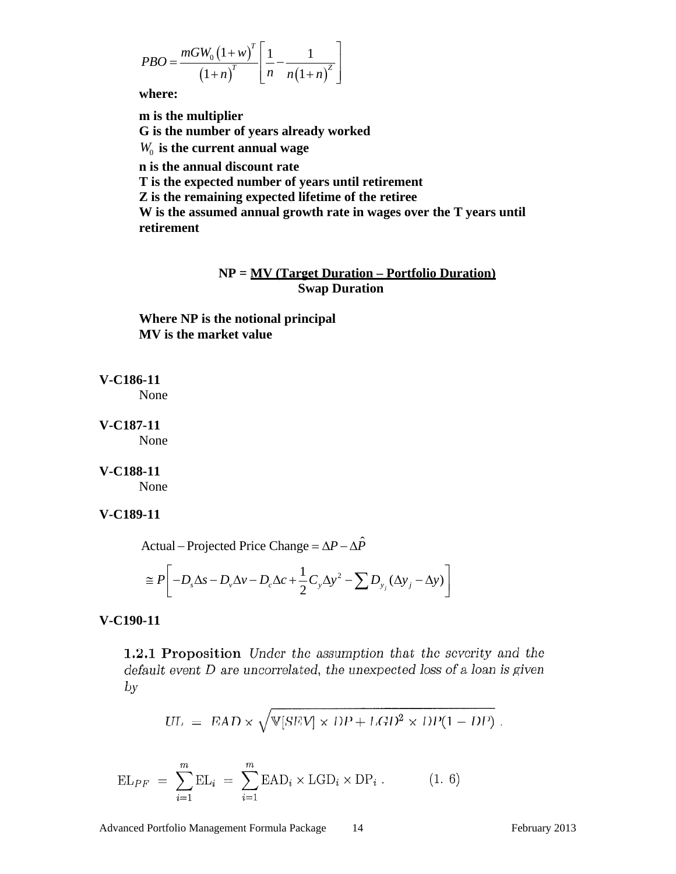$$
PBO = \frac{mGW_0 (1 + w)^T}{(1 + n)^T} \left[ \frac{1}{n} - \frac{1}{n(1 + n)^2} \right]
$$

**where:** 

**m is the multiplier G is the number of years already worked**   $W_0$  is the current annual wage **n is the annual discount rate T is the expected number of years until retirement Z is the remaining expected lifetime of the retiree** 

**W is the assumed annual growth rate in wages over the T years until retirement** 

# **NP = MV (Target Duration – Portfolio Duration) Swap Duration**

**Where NP is the notional principal MV is the market value** 

# **V-C186-11**

None

# **V-C187-11**

None

# **V-C188-11**

None

# **V-C189-11**

Actual – Projected Price Change =  $\Delta P - \Delta \hat{P}$ 

$$
\cong P\bigg[-D_s\Delta s - D_v\Delta v - D_c\Delta c + \frac{1}{2}C_y\Delta y^2 - \sum D_{y_j}(\Delta y_j - \Delta y)\bigg]
$$

# **V-C190-11**

1.2.1 Proposition Under the assumption that the severity and the  $default$  event  $D$  are uncorrelated, the unexpected loss of a loan is given  $by$ 

$$
UL = EAD \times \sqrt{V[SEV] \times DP + LGD^2 \times DP(1 - DP)}.
$$

$$
EL_{PF} = \sum_{i=1}^{m} EL_i = \sum_{i=1}^{m} EAD_i \times LGD_i \times DP_i.
$$
 (1. 6)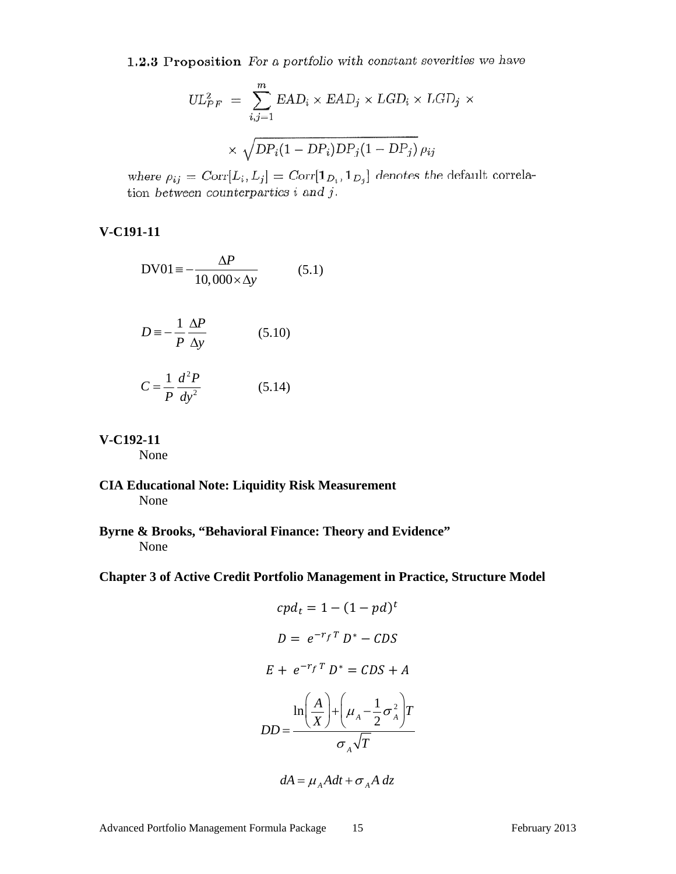1.2.3 Proposition For a portfolio with constant severities we have

$$
UL_{PF}^{2} = \sum_{i,j=1}^{m} EAD_{i} \times EAD_{j} \times LGD_{i} \times LGD_{j} \times \sqrt{DP_{i}(1 - DP_{i})DP_{j}(1 - DP_{j})} \rho_{ij}
$$

where  $\rho_{ij} = \text{Corr}[L_i, L_j] = \text{Corr}[\mathbf{1}_{D_i}, \mathbf{1}_{D_j}]$  denotes the default correlation between counterparties *i* and *j*.

# **V-C191-11**

$$
DV01 = -\frac{\Delta P}{10,000 \times \Delta y}
$$
 (5.1)

$$
D \equiv -\frac{1}{P} \frac{\Delta P}{\Delta y}
$$
 (5.10)

$$
C = \frac{1}{P} \frac{d^2 P}{dy^2} \tag{5.14}
$$

**V-C192-11** 

None

**CIA Educational Note: Liquidity Risk Measurement**  None

**Byrne & Brooks, "Behavioral Finance: Theory and Evidence"**  None

**Chapter 3 of Active Credit Portfolio Management in Practice, Structure Model** 

$$
cpd_t = 1 - (1 - pd)^t
$$
  

$$
D = e^{-r_f T} D^* - CDS
$$
  

$$
E + e^{-r_f T} D^* = CDS + A
$$
  

$$
\ln\left(\frac{A}{X}\right) + \left(\mu_A - \frac{1}{2}\sigma_A^2\right)T
$$
  

$$
DD = \frac{C}{\sigma_A \sqrt{T}}
$$

$$
dA = \mu_A A dt + \sigma_A A dz
$$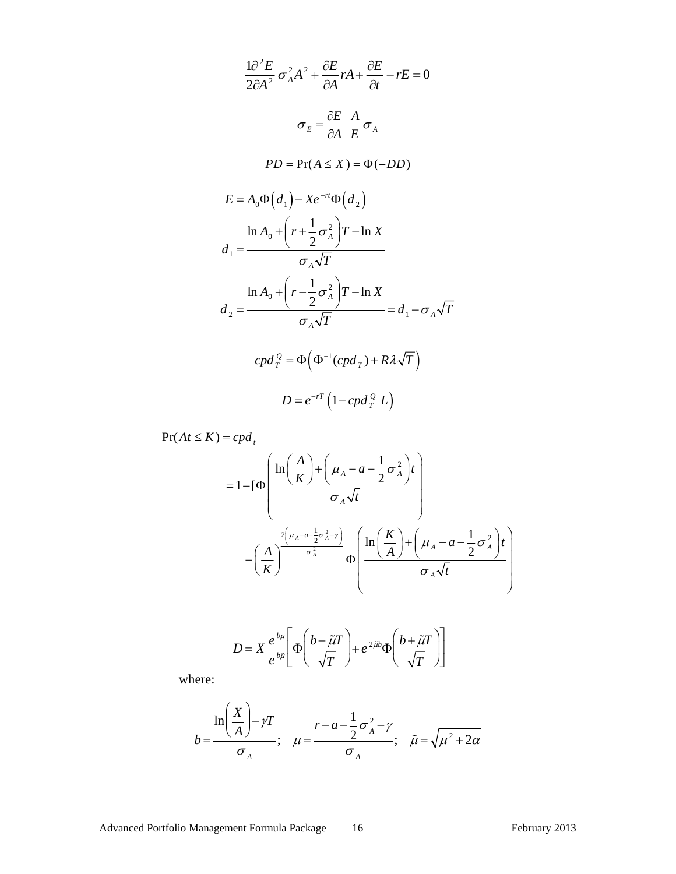$$
\frac{1\partial^2 E}{2\partial A^2} \sigma_A^2 A^2 + \frac{\partial E}{\partial A} rA + \frac{\partial E}{\partial t} - rE = 0
$$
  

$$
\sigma_E = \frac{\partial E}{\partial A} \frac{A}{E} \sigma_A
$$
  

$$
PD = \Pr(A \le X) = \Phi(-DD)
$$
  

$$
E = A_0 \Phi(d_1) - X e^{-rt} \Phi(d_2)
$$
  

$$
\frac{\ln A_0 + \left(r + \frac{1}{2}\sigma_A^2\right)T - \ln X}{\sigma_A \sqrt{T}}
$$
  

$$
d_1 = \frac{\ln A_0 + \left(r - \frac{1}{2}\sigma_A^2\right)T - \ln X}{\sigma_A \sqrt{T}} = d_1 - \sigma_A \sqrt{T}
$$
  

$$
cpd_T^Q = \Phi\left(\Phi^{-1}(cpd_T) + R\lambda\sqrt{T}\right)
$$
  

$$
D = e^{-rT} \left(1 - cpd_T^Q L\right)
$$

 $Pr(At \leq K) = cpd_t$ 

$$
=1-[\Phi\left(\frac{\ln\left(\frac{A}{K}\right)+\left(\mu_{A}-a-\frac{1}{2}\sigma_{A}^{2}\right)t}{\sigma_{A}\sqrt{t}}\right) - \left(\frac{A}{K}\right)^{\frac{2\left(\mu_{A}-a-\frac{1}{2}\sigma_{A}^{2}-\gamma\right)}{\sigma_{A}^{2}}}\Phi\left(\frac{\ln\left(\frac{K}{A}\right)+\left(\mu_{A}-a-\frac{1}{2}\sigma_{A}^{2}\right)t}{\sigma_{A}\sqrt{t}}\right)
$$

$$
D = X \frac{e^{b\mu}}{e^{b\tilde{\mu}}} \left[ \Phi \left( \frac{b - \tilde{\mu}T}{\sqrt{T}} \right) + e^{2\tilde{\mu}b} \Phi \left( \frac{b + \tilde{\mu}T}{\sqrt{T}} \right) \right]
$$

where:

$$
b = \frac{\ln\left(\frac{X}{A}\right) - \gamma T}{\sigma_A}; \quad \mu = \frac{r - a - \frac{1}{2}\sigma_A^2 - \gamma}{\sigma_A}; \quad \tilde{\mu} = \sqrt{\mu^2 + 2\alpha}
$$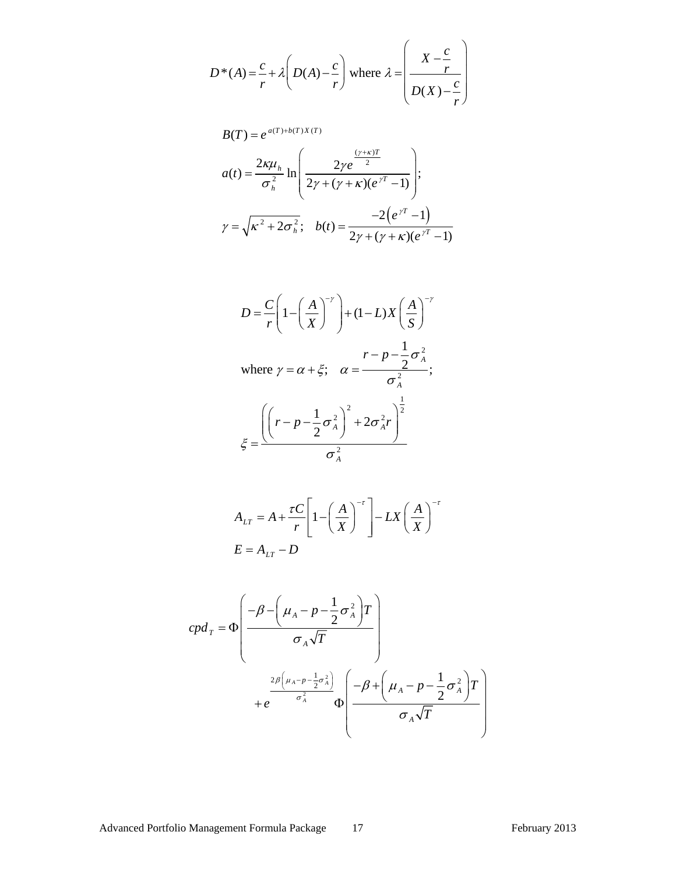$$
D^*(A) = \frac{c}{r} + \lambda \left( D(A) - \frac{c}{r} \right)
$$
 where  $\lambda = \left( \frac{X - \frac{c}{r}}{D(X) - \frac{c}{r}} \right)$ 

$$
B(T) = e^{a(T) + b(T)X(T)}
$$
  
\n
$$
a(t) = \frac{2\kappa\mu_h}{\sigma_h^2} \ln\left(\frac{2\gamma e^{\frac{(\gamma + \kappa)T}{2}}}{2\gamma + (\gamma + \kappa)(e^{\gamma T} - 1)}\right);
$$
  
\n
$$
\gamma = \sqrt{\kappa^2 + 2\sigma_h^2}; \quad b(t) = \frac{-2(e^{\gamma T} - 1)}{2\gamma + (\gamma + \kappa)(e^{\gamma T} - 1)}
$$

$$
D = \frac{C}{r} \left( 1 - \left( \frac{A}{X} \right)^{-\gamma} \right) + (1 - L)X \left( \frac{A}{S} \right)^{-\gamma}
$$
  
where  $\gamma = \alpha + \xi$ ;  $\alpha = \frac{r - p - \frac{1}{2}\sigma_A^2}{\sigma_A^2}$ ;  

$$
\xi = \frac{\left( \left( r - p - \frac{1}{2}\sigma_A^2 \right)^2 + 2\sigma_A^2 r \right)^{\frac{1}{2}}}{\sigma_A^2}
$$

$$
A_{LT} = A + \frac{\tau C}{r} \left[ 1 - \left(\frac{A}{X}\right)^{-\tau} \right] - LX \left(\frac{A}{X}\right)^{-\tau}
$$

$$
E = A_{LT} - D
$$

$$
cpd_{T} = \Phi \left( \frac{-\beta - \left(\mu_{A} - p - \frac{1}{2}\sigma_{A}^{2}\right)T}{\sigma_{A}\sqrt{T}} \right)
$$
  
+  $e^{\frac{2\beta \left(\mu_{A} - p - \frac{1}{2}\sigma_{A}^{2}\right)}{\sigma_{A}^{2}}}\Phi \left( \frac{-\beta + \left(\mu_{A} - p - \frac{1}{2}\sigma_{A}^{2}\right)T}{\sigma_{A}\sqrt{T}} \right)$